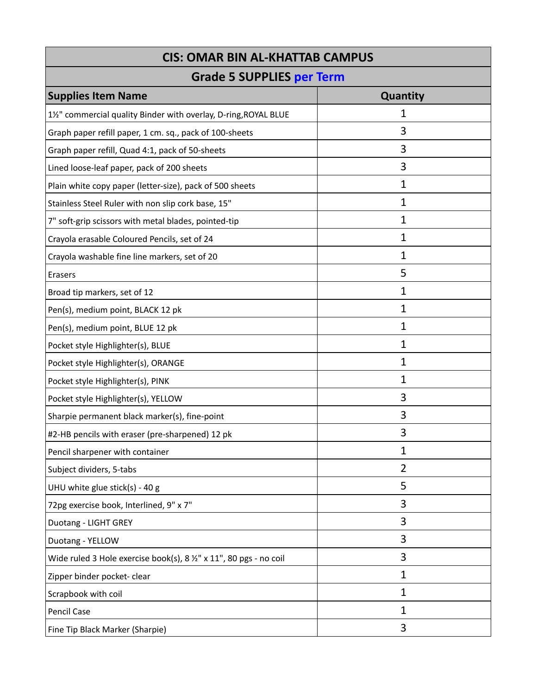| <b>CIS: OMAR BIN AL-KHATTAB CAMPUS</b>                             |              |  |
|--------------------------------------------------------------------|--------------|--|
| <b>Grade 5 SUPPLIES per Term</b>                                   |              |  |
| <b>Supplies Item Name</b>                                          | Quantity     |  |
| 1½" commercial quality Binder with overlay, D-ring, ROYAL BLUE     | 1            |  |
| Graph paper refill paper, 1 cm. sq., pack of 100-sheets            | 3            |  |
| Graph paper refill, Quad 4:1, pack of 50-sheets                    | 3            |  |
| Lined loose-leaf paper, pack of 200 sheets                         | 3            |  |
| Plain white copy paper (letter-size), pack of 500 sheets           | $\mathbf 1$  |  |
| Stainless Steel Ruler with non slip cork base, 15"                 | 1            |  |
| 7" soft-grip scissors with metal blades, pointed-tip               | 1            |  |
| Crayola erasable Coloured Pencils, set of 24                       | 1            |  |
| Crayola washable fine line markers, set of 20                      | $\mathbf{1}$ |  |
| Erasers                                                            | 5            |  |
| Broad tip markers, set of 12                                       | 1            |  |
| Pen(s), medium point, BLACK 12 pk                                  | 1            |  |
| Pen(s), medium point, BLUE 12 pk                                   | 1            |  |
| Pocket style Highlighter(s), BLUE                                  | 1            |  |
| Pocket style Highlighter(s), ORANGE                                | $\mathbf 1$  |  |
| Pocket style Highlighter(s), PINK                                  | 1            |  |
| Pocket style Highlighter(s), YELLOW                                | 3            |  |
| Sharpie permanent black marker(s), fine-point                      | 3            |  |
| #2-HB pencils with eraser (pre-sharpened) 12 pk                    | 3            |  |
| Pencil sharpener with container                                    | 1            |  |
| Subject dividers, 5-tabs                                           | 2            |  |
| UHU white glue stick(s) - 40 g                                     | 5            |  |
| 72pg exercise book, Interlined, 9" x 7"                            | 3            |  |
| Duotang - LIGHT GREY                                               | 3            |  |
| Duotang - YELLOW                                                   | 3            |  |
| Wide ruled 3 Hole exercise book(s), 8 1/2" x 11", 80 pgs - no coil | 3            |  |
| Zipper binder pocket- clear                                        | 1            |  |
| Scrapbook with coil                                                | 1            |  |
| Pencil Case                                                        | 1            |  |
| Fine Tip Black Marker (Sharpie)                                    | 3            |  |